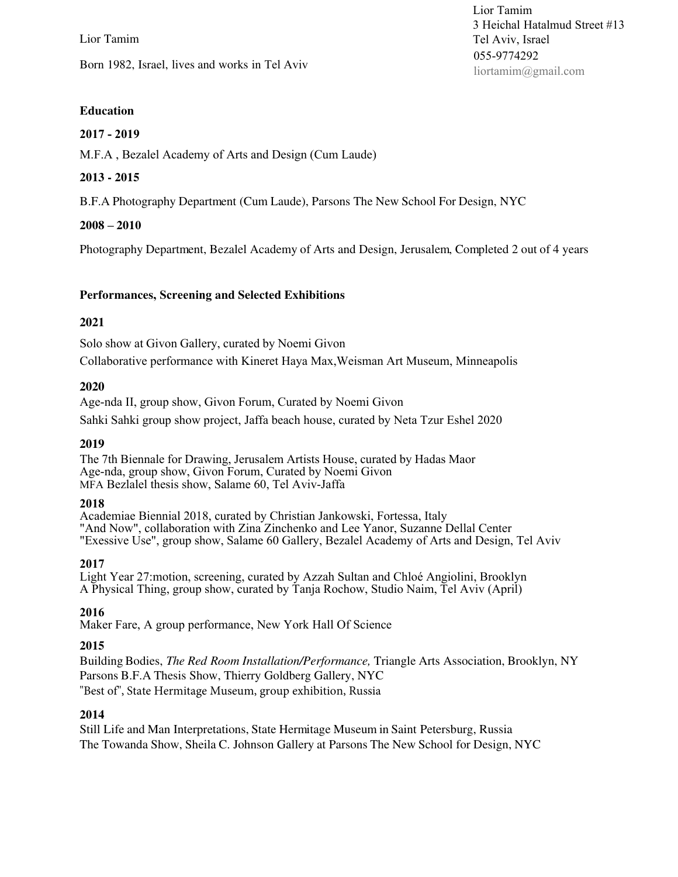Lior Tamim Born 1982, Israel, lives and works in Tel Aviv

# **Education**

## **2017 - 2019**

M.F.A , Bezalel Academy of Arts and Design (Cum Laude)

# **2013 - 2015**

B.F.A Photography Department (Cum Laude), Parsons The New School For Design, NYC

# **2008 – 2010**

Photography Department, Bezalel Academy of Arts and Design, Jerusalem, Completed 2 out of 4 years

# **Performances, Screening and Selected Exhibitions**

### **2021**

Solo show at Givon Gallery, curated by Noemi Givon Collaborative performance with Kineret Haya Max,Weisman Art Museum, Minneapolis

### **2020**

Age-nda II, group show, Givon Forum, Curated by Noemi Givon

Sahki Sahki group show project, Jaffa beach house, curated by Neta Tzur Eshel 2020

## **2019**

The 7th Biennale for Drawing, Jerusalem Artists House, curated by Hadas Maor Age-nda, group show, Givon Forum, Curated by Noemi Givon MFA Bezlalel thesis show, Salame 60, Tel Aviv-Jaffa

### **2018**

Academiae Biennial 2018, curated by Christian Jankowski, Fortessa, Italy "And Now", collaboration with Zina Zinchenko and Lee Yanor, Suzanne Dellal Center "Exessive Use", group show, Salame 60 Gallery, Bezalel Academy of Arts and Design, Tel Aviv

### **2017**

Light Year 27:motion, screening, curated by Azzah Sultan and Chloé Angiolini, Brooklyn A Physical Thing, group show, curated by Tanja Rochow, Studio Naim, Tel Aviv (April)

### **2016**

Maker Fare, A group performance, New York Hall Of Science

### **2015**

Building Bodies, *The Red Room Installation/Performance,* Triangle Arts Association, Brooklyn, NY Parsons B.F.A Thesis Show, Thierry Goldberg Gallery, NYC "Best of", State Hermitage Museum, group exhibition, Russia

### **2014**

Still Life and Man Interpretations, State Hermitage Museum in Saint Petersburg, Russia The Towanda Show, Sheila C. Johnson Gallery at Parsons The New School for Design, NYC

Lior Tamim 3 Heichal Hatalmud Street #13 Tel Aviv, Israel 055-9774292 liortamim@gmail.com